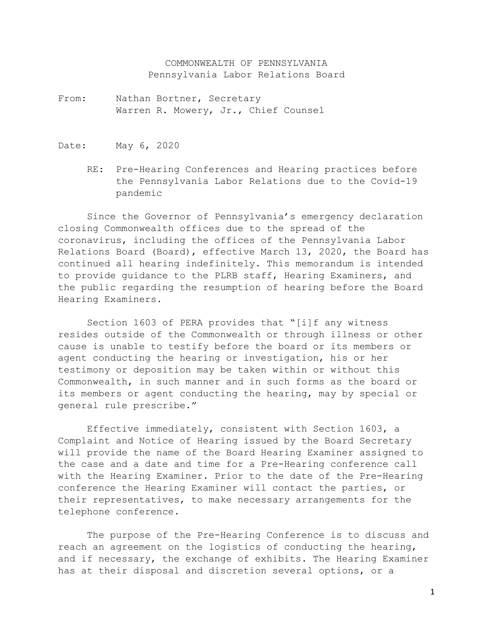COMMONWEALTH OF PENNSYLVANIA Pennsylvania Labor Relations Board

- From: Nathan Bortner, Secretary Warren R. Mowery, Jr., Chief Counsel
- Date: May 6, 2020
	- RE: Pre-Hearing Conferences and Hearing practices before the Pennsylvania Labor Relations due to the Covid-19 pandemic

Since the Governor of Pennsylvania's emergency declaration closing Commonwealth offices due to the spread of the coronavirus, including the offices of the Pennsylvania Labor Relations Board (Board), effective March 13, 2020, the Board has continued all hearing indefinitely. This memorandum is intended to provide guidance to the PLRB staff, Hearing Examiners, and the public regarding the resumption of hearing before the Board Hearing Examiners.

Section 1603 of PERA provides that "[i]f any witness resides outside of the Commonwealth or through illness or other cause is unable to testify before the board or its members or agent conducting the hearing or investigation, his or her testimony or deposition may be taken within or without this Commonwealth, in such manner and in such forms as the board or its members or agent conducting the hearing, may by special or general rule prescribe."

Effective immediately, consistent with Section 1603, a Complaint and Notice of Hearing issued by the Board Secretary will provide the name of the Board Hearing Examiner assigned to the case and a date and time for a Pre-Hearing conference call with the Hearing Examiner. Prior to the date of the Pre-Hearing conference the Hearing Examiner will contact the parties, or their representatives, to make necessary arrangements for the telephone conference.

The purpose of the Pre-Hearing Conference is to discuss and reach an agreement on the logistics of conducting the hearing, and if necessary, the exchange of exhibits. The Hearing Examiner has at their disposal and discretion several options, or a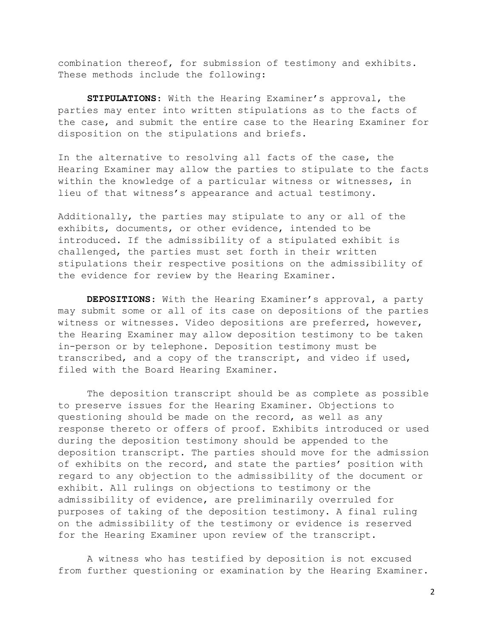combination thereof, for submission of testimony and exhibits. These methods include the following:

**STIPULATIONS**: With the Hearing Examiner's approval, the parties may enter into written stipulations as to the facts of the case, and submit the entire case to the Hearing Examiner for disposition on the stipulations and briefs.

In the alternative to resolving all facts of the case, the Hearing Examiner may allow the parties to stipulate to the facts within the knowledge of a particular witness or witnesses, in lieu of that witness's appearance and actual testimony.

Additionally, the parties may stipulate to any or all of the exhibits, documents, or other evidence, intended to be introduced. If the admissibility of a stipulated exhibit is challenged, the parties must set forth in their written stipulations their respective positions on the admissibility of the evidence for review by the Hearing Examiner.

**DEPOSITIONS**: With the Hearing Examiner's approval, a party may submit some or all of its case on depositions of the parties witness or witnesses. Video depositions are preferred, however, the Hearing Examiner may allow deposition testimony to be taken in-person or by telephone. Deposition testimony must be transcribed, and a copy of the transcript, and video if used, filed with the Board Hearing Examiner.

The deposition transcript should be as complete as possible to preserve issues for the Hearing Examiner. Objections to questioning should be made on the record, as well as any response thereto or offers of proof. Exhibits introduced or used during the deposition testimony should be appended to the deposition transcript. The parties should move for the admission of exhibits on the record, and state the parties' position with regard to any objection to the admissibility of the document or exhibit. All rulings on objections to testimony or the admissibility of evidence, are preliminarily overruled for purposes of taking of the deposition testimony. A final ruling on the admissibility of the testimony or evidence is reserved for the Hearing Examiner upon review of the transcript.

A witness who has testified by deposition is not excused from further questioning or examination by the Hearing Examiner.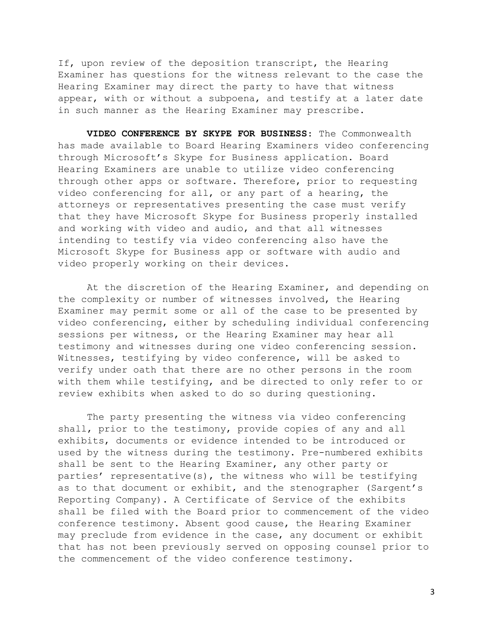If, upon review of the deposition transcript, the Hearing Examiner has questions for the witness relevant to the case the Hearing Examiner may direct the party to have that witness appear, with or without a subpoena, and testify at a later date in such manner as the Hearing Examiner may prescribe.

**VIDEO CONFERENCE BY SKYPE FOR BUSINESS**: The Commonwealth has made available to Board Hearing Examiners video conferencing through Microsoft's Skype for Business application. Board Hearing Examiners are unable to utilize video conferencing through other apps or software. Therefore, prior to requesting video conferencing for all, or any part of a hearing, the attorneys or representatives presenting the case must verify that they have Microsoft Skype for Business properly installed and working with video and audio, and that all witnesses intending to testify via video conferencing also have the Microsoft Skype for Business app or software with audio and video properly working on their devices.

At the discretion of the Hearing Examiner, and depending on the complexity or number of witnesses involved, the Hearing Examiner may permit some or all of the case to be presented by video conferencing, either by scheduling individual conferencing sessions per witness, or the Hearing Examiner may hear all testimony and witnesses during one video conferencing session. Witnesses, testifying by video conference, will be asked to verify under oath that there are no other persons in the room with them while testifying, and be directed to only refer to or review exhibits when asked to do so during questioning.

The party presenting the witness via video conferencing shall, prior to the testimony, provide copies of any and all exhibits, documents or evidence intended to be introduced or used by the witness during the testimony. Pre-numbered exhibits shall be sent to the Hearing Examiner, any other party or parties' representative(s), the witness who will be testifying as to that document or exhibit, and the stenographer (Sargent's Reporting Company). A Certificate of Service of the exhibits shall be filed with the Board prior to commencement of the video conference testimony. Absent good cause, the Hearing Examiner may preclude from evidence in the case, any document or exhibit that has not been previously served on opposing counsel prior to the commencement of the video conference testimony.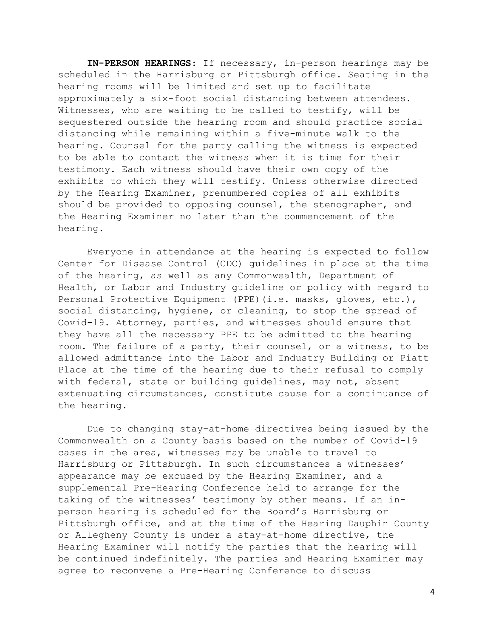**IN-PERSON HEARINGS**: If necessary, in-person hearings may be scheduled in the Harrisburg or Pittsburgh office. Seating in the hearing rooms will be limited and set up to facilitate approximately a six-foot social distancing between attendees. Witnesses, who are waiting to be called to testify, will be sequestered outside the hearing room and should practice social distancing while remaining within a five-minute walk to the hearing. Counsel for the party calling the witness is expected to be able to contact the witness when it is time for their testimony. Each witness should have their own copy of the exhibits to which they will testify. Unless otherwise directed by the Hearing Examiner, prenumbered copies of all exhibits should be provided to opposing counsel, the stenographer, and the Hearing Examiner no later than the commencement of the hearing.

Everyone in attendance at the hearing is expected to follow Center for Disease Control (CDC) guidelines in place at the time of the hearing, as well as any Commonwealth, Department of Health, or Labor and Industry guideline or policy with regard to Personal Protective Equipment (PPE)(i.e. masks, gloves, etc.), social distancing, hygiene, or cleaning, to stop the spread of Covid-19. Attorney, parties, and witnesses should ensure that they have all the necessary PPE to be admitted to the hearing room. The failure of a party, their counsel, or a witness, to be allowed admittance into the Labor and Industry Building or Piatt Place at the time of the hearing due to their refusal to comply with federal, state or building guidelines, may not, absent extenuating circumstances, constitute cause for a continuance of the hearing.

Due to changing stay-at-home directives being issued by the Commonwealth on a County basis based on the number of Covid-19 cases in the area, witnesses may be unable to travel to Harrisburg or Pittsburgh. In such circumstances a witnesses' appearance may be excused by the Hearing Examiner, and a supplemental Pre-Hearing Conference held to arrange for the taking of the witnesses' testimony by other means. If an inperson hearing is scheduled for the Board's Harrisburg or Pittsburgh office, and at the time of the Hearing Dauphin County or Allegheny County is under a stay-at-home directive, the Hearing Examiner will notify the parties that the hearing will be continued indefinitely. The parties and Hearing Examiner may agree to reconvene a Pre-Hearing Conference to discuss